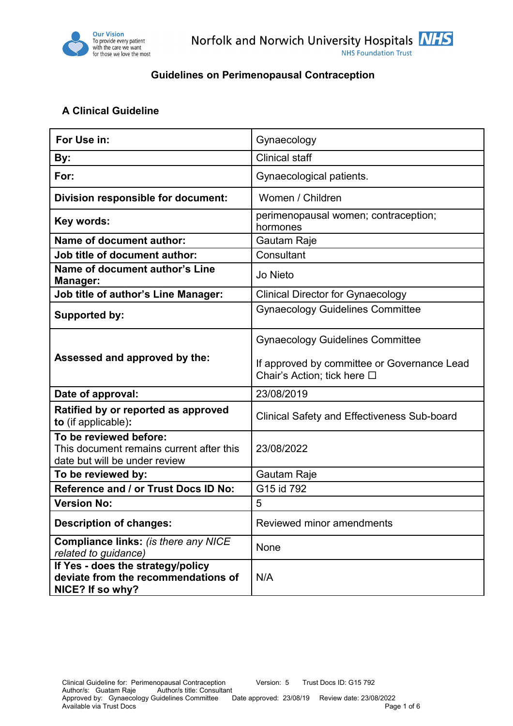

#### **A Clinical Guideline**

| For Use in:                                                                                         | Gynaecology                                                                                                           |  |  |
|-----------------------------------------------------------------------------------------------------|-----------------------------------------------------------------------------------------------------------------------|--|--|
| By:                                                                                                 | <b>Clinical staff</b>                                                                                                 |  |  |
| For:                                                                                                | Gynaecological patients.                                                                                              |  |  |
| Division responsible for document:                                                                  | Women / Children                                                                                                      |  |  |
| Key words:                                                                                          | perimenopausal women; contraception;<br>hormones                                                                      |  |  |
| <b>Name of document author:</b>                                                                     | Gautam Raje                                                                                                           |  |  |
| Job title of document author:                                                                       | Consultant                                                                                                            |  |  |
| Name of document author's Line<br>Manager:                                                          | Jo Nieto                                                                                                              |  |  |
| <b>Job title of author's Line Manager:</b>                                                          | <b>Clinical Director for Gynaecology</b>                                                                              |  |  |
| <b>Supported by:</b>                                                                                | <b>Gynaecology Guidelines Committee</b>                                                                               |  |  |
| Assessed and approved by the:                                                                       | <b>Gynaecology Guidelines Committee</b><br>If approved by committee or Governance Lead<br>Chair's Action; tick here □ |  |  |
| Date of approval:                                                                                   | 23/08/2019                                                                                                            |  |  |
| Ratified by or reported as approved<br>to (if applicable):                                          | <b>Clinical Safety and Effectiveness Sub-board</b>                                                                    |  |  |
| To be reviewed before:<br>This document remains current after this<br>date but will be under review | 23/08/2022                                                                                                            |  |  |
| To be reviewed by:                                                                                  | Gautam Raje                                                                                                           |  |  |
| Reference and / or Trust Docs ID No:                                                                | G15 id 792                                                                                                            |  |  |
| <b>Version No:</b>                                                                                  | 5                                                                                                                     |  |  |
| <b>Description of changes:</b>                                                                      | Reviewed minor amendments                                                                                             |  |  |
| Compliance links: (is there any NICE<br>related to guidance)                                        | None                                                                                                                  |  |  |
| If Yes - does the strategy/policy<br>deviate from the recommendations of<br>NICE? If so why?        | N/A                                                                                                                   |  |  |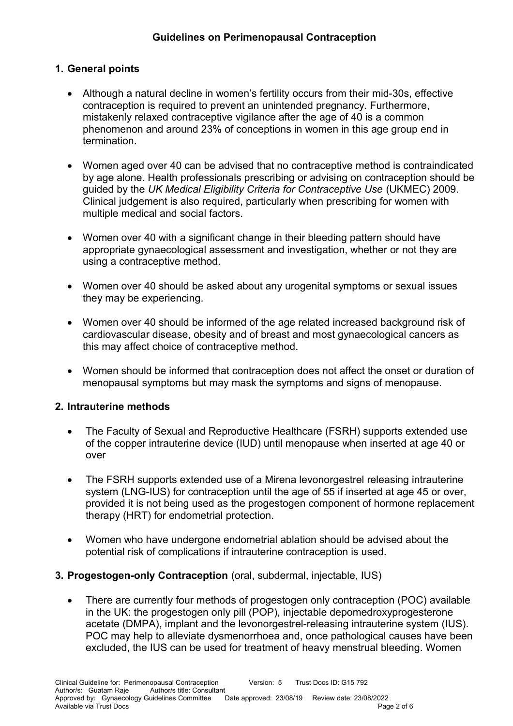# **1. General points**

- Although a natural decline in women's fertility occurs from their mid-30s, effective contraception is required to prevent an unintended pregnancy. Furthermore, mistakenly relaxed contraceptive vigilance after the age of 40 is a common phenomenon and around 23% of conceptions in women in this age group end in termination.
- Women aged over 40 can be advised that no contraceptive method is contraindicated by age alone. Health professionals prescribing or advising on contraception should be guided by the *UK Medical Eligibility Criteria for Contraceptive Use* (UKMEC) 2009. Clinical judgement is also required, particularly when prescribing for women with multiple medical and social factors.
- Women over 40 with a significant change in their bleeding pattern should have appropriate gynaecological assessment and investigation, whether or not they are using a contraceptive method.
- Women over 40 should be asked about any urogenital symptoms or sexual issues they may be experiencing.
- Women over 40 should be informed of the age related increased background risk of cardiovascular disease, obesity and of breast and most gynaecological cancers as this may affect choice of contraceptive method.
- Women should be informed that contraception does not affect the onset or duration of menopausal symptoms but may mask the symptoms and signs of menopause.

## **2. Intrauterine methods**

- The Faculty of Sexual and Reproductive Healthcare (FSRH) supports extended use of the copper intrauterine device (IUD) until menopause when inserted at age 40 or over
- The FSRH supports extended use of a Mirena levonorgestrel releasing intrauterine system (LNG-IUS) for contraception until the age of 55 if inserted at age 45 or over, provided it is not being used as the progestogen component of hormone replacement therapy (HRT) for endometrial protection.
- Women who have undergone endometrial ablation should be advised about the potential risk of complications if intrauterine contraception is used.

#### **3. Progestogen-only Contraception** (oral, subdermal, injectable, IUS)

• There are currently four methods of progestogen only contraception (POC) available in the UK: the progestogen only pill (POP), injectable depomedroxyprogesterone acetate (DMPA), implant and the levonorgestrel-releasing intrauterine system (IUS). POC may help to alleviate dysmenorrhoea and, once pathological causes have been excluded, the IUS can be used for treatment of heavy menstrual bleeding. Women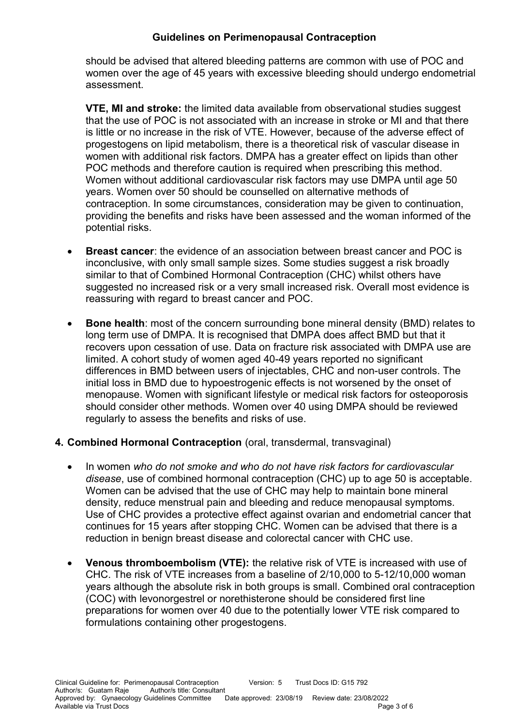should be advised that altered bleeding patterns are common with use of POC and women over the age of 45 years with excessive bleeding should undergo endometrial assessment.

**VTE, MI and stroke:** the limited data available from observational studies suggest that the use of POC is not associated with an increase in stroke or MI and that there is little or no increase in the risk of VTE. However, because of the adverse effect of progestogens on lipid metabolism, there is a theoretical risk of vascular disease in women with additional risk factors. DMPA has a greater effect on lipids than other POC methods and therefore caution is required when prescribing this method. Women without additional cardiovascular risk factors may use DMPA until age 50 years. Women over 50 should be counselled on alternative methods of contraception. In some circumstances, consideration may be given to continuation, providing the benefits and risks have been assessed and the woman informed of the potential risks.

- **Breast cancer**: the evidence of an association between breast cancer and POC is inconclusive, with only small sample sizes. Some studies suggest a risk broadly similar to that of Combined Hormonal Contraception (CHC) whilst others have suggested no increased risk or a very small increased risk. Overall most evidence is reassuring with regard to breast cancer and POC.
- **Bone health**: most of the concern surrounding bone mineral density (BMD) relates to long term use of DMPA. It is recognised that DMPA does affect BMD but that it recovers upon cessation of use. Data on fracture risk associated with DMPA use are limited. A cohort study of women aged 40-49 years reported no significant differences in BMD between users of injectables, CHC and non-user controls. The initial loss in BMD due to hypoestrogenic effects is not worsened by the onset of menopause. Women with significant lifestyle or medical risk factors for osteoporosis should consider other methods. Women over 40 using DMPA should be reviewed regularly to assess the benefits and risks of use.

## **4. Combined Hormonal Contraception** (oral, transdermal, transvaginal)

- In women *who do not smoke and who do not have risk factors for cardiovascular disease*, use of combined hormonal contraception (CHC) up to age 50 is acceptable. Women can be advised that the use of CHC may help to maintain bone mineral density, reduce menstrual pain and bleeding and reduce menopausal symptoms. Use of CHC provides a protective effect against ovarian and endometrial cancer that continues for 15 years after stopping CHC. Women can be advised that there is a reduction in benign breast disease and colorectal cancer with CHC use.
- **Venous thromboembolism (VTE):** the relative risk of VTE is increased with use of CHC. The risk of VTE increases from a baseline of 2/10,000 to 5-12/10,000 woman years although the absolute risk in both groups is small. Combined oral contraception (COC) with levonorgestrel or norethisterone should be considered first line preparations for women over 40 due to the potentially lower VTE risk compared to formulations containing other progestogens.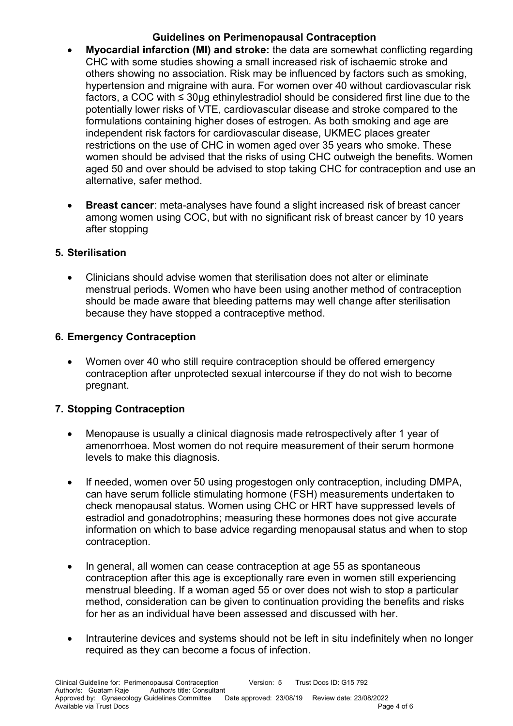- **Myocardial infarction (MI) and stroke:** the data are somewhat conflicting regarding CHC with some studies showing a small increased risk of ischaemic stroke and others showing no association. Risk may be influenced by factors such as smoking, hypertension and migraine with aura. For women over 40 without cardiovascular risk factors, a COC with ≤ 30µg ethinylestradiol should be considered first line due to the potentially lower risks of VTE, cardiovascular disease and stroke compared to the formulations containing higher doses of estrogen. As both smoking and age are independent risk factors for cardiovascular disease, UKMEC places greater restrictions on the use of CHC in women aged over 35 years who smoke. These women should be advised that the risks of using CHC outweigh the benefits. Women aged 50 and over should be advised to stop taking CHC for contraception and use an alternative, safer method.
- **Breast cancer**: meta-analyses have found a slight increased risk of breast cancer among women using COC, but with no significant risk of breast cancer by 10 years after stopping

# **5. Sterilisation**

 Clinicians should advise women that sterilisation does not alter or eliminate menstrual periods. Women who have been using another method of contraception should be made aware that bleeding patterns may well change after sterilisation because they have stopped a contraceptive method.

# **6. Emergency Contraception**

 Women over 40 who still require contraception should be offered emergency contraception after unprotected sexual intercourse if they do not wish to become pregnant.

# **7. Stopping Contraception**

- Menopause is usually a clinical diagnosis made retrospectively after 1 year of amenorrhoea. Most women do not require measurement of their serum hormone levels to make this diagnosis.
- If needed, women over 50 using progestogen only contraception, including DMPA, can have serum follicle stimulating hormone (FSH) measurements undertaken to check menopausal status. Women using CHC or HRT have suppressed levels of estradiol and gonadotrophins; measuring these hormones does not give accurate information on which to base advice regarding menopausal status and when to stop contraception.
- In general, all women can cease contraception at age 55 as spontaneous contraception after this age is exceptionally rare even in women still experiencing menstrual bleeding. If a woman aged 55 or over does not wish to stop a particular method, consideration can be given to continuation providing the benefits and risks for her as an individual have been assessed and discussed with her.
- Intrauterine devices and systems should not be left in situ indefinitely when no longer required as they can become a focus of infection.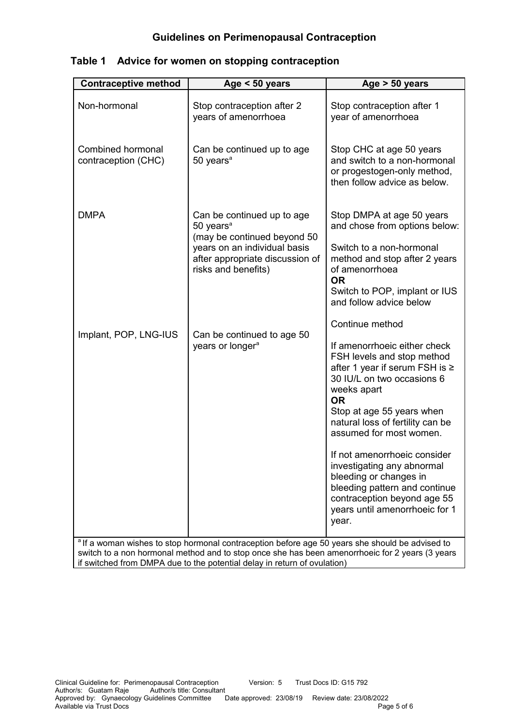| <b>Contraceptive method</b>                                                                                                                                                                                                                                                               | Age $< 50$ years                                                                                                                                                             | Age $> 50$ years                                                                                                                                                                                                                                                                                                                                                                                                                                                             |  |  |  |
|-------------------------------------------------------------------------------------------------------------------------------------------------------------------------------------------------------------------------------------------------------------------------------------------|------------------------------------------------------------------------------------------------------------------------------------------------------------------------------|------------------------------------------------------------------------------------------------------------------------------------------------------------------------------------------------------------------------------------------------------------------------------------------------------------------------------------------------------------------------------------------------------------------------------------------------------------------------------|--|--|--|
| Non-hormonal                                                                                                                                                                                                                                                                              | Stop contraception after 2<br>years of amenorrhoea                                                                                                                           | Stop contraception after 1<br>year of amenorrhoea                                                                                                                                                                                                                                                                                                                                                                                                                            |  |  |  |
| Combined hormonal<br>contraception (CHC)                                                                                                                                                                                                                                                  | Can be continued up to age<br>50 years <sup>a</sup>                                                                                                                          | Stop CHC at age 50 years<br>and switch to a non-hormonal<br>or progestogen-only method,<br>then follow advice as below.                                                                                                                                                                                                                                                                                                                                                      |  |  |  |
| <b>DMPA</b>                                                                                                                                                                                                                                                                               | Can be continued up to age<br>50 years <sup>a</sup><br>(may be continued beyond 50<br>years on an individual basis<br>after appropriate discussion of<br>risks and benefits) | Stop DMPA at age 50 years<br>and chose from options below:<br>Switch to a non-hormonal<br>method and stop after 2 years<br>of amenorrhoea<br><b>OR</b><br>Switch to POP, implant or IUS<br>and follow advice below                                                                                                                                                                                                                                                           |  |  |  |
| Implant, POP, LNG-IUS                                                                                                                                                                                                                                                                     | Can be continued to age 50<br>years or longer <sup>a</sup>                                                                                                                   | Continue method<br>If amenorrhoeic either check<br>FSH levels and stop method<br>after 1 year if serum FSH is $\ge$<br>30 IU/L on two occasions 6<br>weeks apart<br><b>OR</b><br>Stop at age 55 years when<br>natural loss of fertility can be<br>assumed for most women.<br>If not amenorrhoeic consider<br>investigating any abnormal<br>bleeding or changes in<br>bleeding pattern and continue<br>contraception beyond age 55<br>years until amenorrhoeic for 1<br>year. |  |  |  |
| <sup>a</sup> If a woman wishes to stop hormonal contraception before age 50 years she should be advised to<br>switch to a non hormonal method and to stop once she has been amenorrhoeic for 2 years (3 years<br>if ewitched from DMDA due to the notential delay in return of ovulation) |                                                                                                                                                                              |                                                                                                                                                                                                                                                                                                                                                                                                                                                                              |  |  |  |

| Table 1 Advice for women on stopping contraception |  |
|----------------------------------------------------|--|
|                                                    |  |

if switched from DMPA due to the potential delay in return of ovulation)